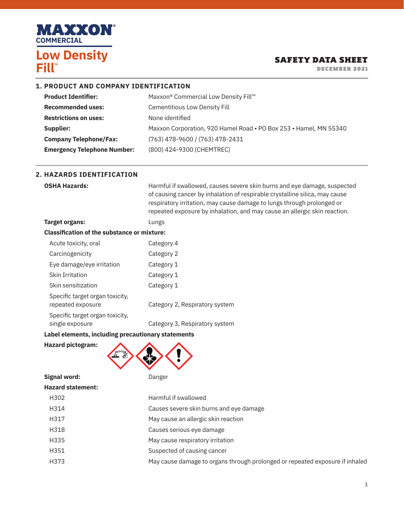

### SAFETY DATA SHEET

DECEMBER 2021

#### **1. PRODUCT AND COMPANY IDENTIFICATION**

| <b>Product Identifier:</b>         | Maxxon® Commercial Low Density Fill™                              |
|------------------------------------|-------------------------------------------------------------------|
| <b>Recommended uses:</b>           | <b>Cementitious Low Density Fill</b>                              |
| <b>Restrictions on uses:</b>       | None identified                                                   |
| Supplier:                          | Maxxon Corporation, 920 Hamel Road . PO Box 253 . Hamel, MN 55340 |
| <b>Company Telephone/Fax:</b>      | $(763)$ 478-9600 / (763) 478-2431                                 |
| <b>Emergency Telephone Number:</b> | (800) 424-9300 (CHEMTREC)                                         |

#### **2. HAZARDS IDENTIFICATION**

| <b>OSHA Hazards:</b>                                 | Harmful if swallowed, causes severe skin burns and eye damage, suspected<br>of causing cancer by inhalation of respirable crystalline silica, may cause<br>respiratory irritation, may cause damage to lungs through prolonged or<br>repeated exposure by inhalation, and may cause an allergic skin reaction. |
|------------------------------------------------------|----------------------------------------------------------------------------------------------------------------------------------------------------------------------------------------------------------------------------------------------------------------------------------------------------------------|
| Target organs:                                       | Lungs                                                                                                                                                                                                                                                                                                          |
| <b>Classification of the substance or mixture:</b>   |                                                                                                                                                                                                                                                                                                                |
| Acute toxicity, oral                                 | Category 4                                                                                                                                                                                                                                                                                                     |
| Carcinogenicity                                      | Category 2                                                                                                                                                                                                                                                                                                     |
| Eye damage/eye irritation                            | Category 1                                                                                                                                                                                                                                                                                                     |
| <b>Skin Irritation</b>                               | Category 1                                                                                                                                                                                                                                                                                                     |
| Skin sensitization                                   | Category 1                                                                                                                                                                                                                                                                                                     |
| Specific target organ toxicity,<br>repeated exposure | Category 2, Respiratory system                                                                                                                                                                                                                                                                                 |
| Specific target organ toxicity.                      |                                                                                                                                                                                                                                                                                                                |

single exposure **Category 3, Respiratory system** 

### **Label elements, including precautionary statements**

**Hazard pictogram:**



## **Hazard statement:**

| H302 | Harmful if swallowed                                                         |
|------|------------------------------------------------------------------------------|
| H314 | Causes severe skin burns and eye damage                                      |
| H317 | May cause an allergic skin reaction                                          |
| H318 | Causes serious eye damage                                                    |
| H335 | May cause respiratory irritation                                             |
| H351 | Suspected of causing cancer                                                  |
| H373 | May cause damage to organs through prolonged or repeated exposure if inhaled |
|      |                                                                              |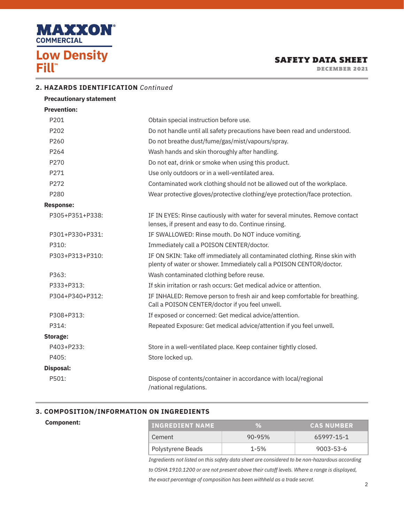

DECEMBER 2021

### **2. HAZARDS IDENTIFICATION** *Continued*

| <b>Precautionary statement</b> |                                                                                                                                                    |
|--------------------------------|----------------------------------------------------------------------------------------------------------------------------------------------------|
| <b>Prevention:</b>             |                                                                                                                                                    |
| P201                           | Obtain special instruction before use.                                                                                                             |
| P202                           | Do not handle until all safety precautions have been read and understood.                                                                          |
| P260                           | Do not breathe dust/fume/gas/mist/vapours/spray.                                                                                                   |
| P264                           | Wash hands and skin thoroughly after handling.                                                                                                     |
| P270                           | Do not eat, drink or smoke when using this product.                                                                                                |
| P271                           | Use only outdoors or in a well-ventilated area.                                                                                                    |
| P272                           | Contaminated work clothing should not be allowed out of the workplace.                                                                             |
| P280                           | Wear protective gloves/protective clothing/eye protection/face protection.                                                                         |
| <b>Response:</b>               |                                                                                                                                                    |
| P305+P351+P338:                | IF IN EYES: Rinse cautiously with water for several minutes. Remove contact<br>lenses, if present and easy to do. Continue rinsing.                |
| P301+P330+P331:                | IF SWALLOWED: Rinse mouth. Do NOT induce vomiting.                                                                                                 |
| P310:                          | Immediately call a POISON CENTER/doctor.                                                                                                           |
| P303+P313+P310:                | IF ON SKIN: Take off immediately all contaminated clothing. Rinse skin with<br>plenty of water or shower. Immediately call a POISON CENTOR/doctor. |
| P363:                          | Wash contaminated clothing before reuse.                                                                                                           |
| P333+P313:                     | If skin irritation or rash occurs: Get medical advice or attention.                                                                                |
| P304+P340+P312:                | IF INHALED: Remove person to fresh air and keep comfortable for breathing.<br>Call a POISON CENTER/doctor if you feel unwell.                      |
| P308+P313:                     | If exposed or concerned: Get medical advice/attention.                                                                                             |
| P314:                          | Repeated Exposure: Get medical advice/attention if you feel unwell.                                                                                |
| <b>Storage:</b>                |                                                                                                                                                    |
| P403+P233:                     | Store in a well-ventilated place. Keep container tightly closed.                                                                                   |
| P405:                          | Store locked up.                                                                                                                                   |
| Disposal:                      |                                                                                                                                                    |
| P501:                          | Dispose of contents/container in accordance with local/regional<br>/national regulations.                                                          |

#### **3. COMPOSITION/INFORMATION ON INGREDIENTS**

**Component:**

| <b>INGREDIENT NAME</b> | VA         | <b>CAS NUMBER</b> |
|------------------------|------------|-------------------|
| Cement                 | $90 - 95%$ | 65997-15-1        |
| Polystyrene Beads      | $1 - 5%$   | 9003-53-6         |

*Ingredients not listed on this safety data sheet are considered to be non-hazardous according to OSHA 1910.1200 or are not present above their cutoff levels. Where a range is displayed, the exact percentage of composition has been withheld as a trade secret.*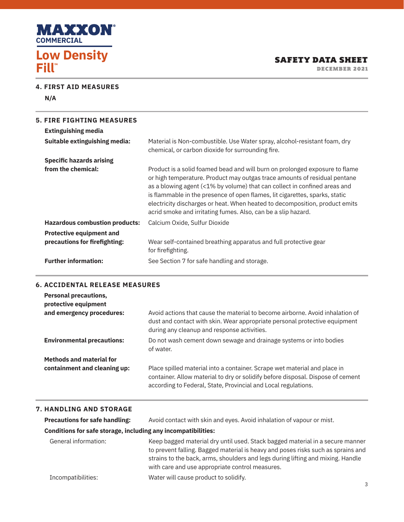

DECEMBER 2021

#### **4. FIRST AID MEASURES**

**N/A**

| <b>Specific hazards arising</b><br>from the chemical:<br>as a blowing agent (<1% by volume) that can collect in confined areas and<br>is flammable in the presence of open flames, lit cigarettes, sparks, static<br>acrid smoke and irritating fumes. Also, can be a slip hazard.<br><b>Hazardous combustion products:</b><br>Calcium Oxide, Sulfur Dioxide<br><b>Protective equipment and</b><br>precautions for fire fighting:<br>Wear self-contained breathing apparatus and full protective gear<br>for firefighting. | <b>5. FIRE FIGHTING MEASURES</b><br><b>Extinguishing media</b><br>Suitable extinguishing media: | Material is Non-combustible. Use Water spray, alcohol-resistant foam, dry<br>chemical, or carbon dioxide for surrounding fire.                                                                                                          |
|----------------------------------------------------------------------------------------------------------------------------------------------------------------------------------------------------------------------------------------------------------------------------------------------------------------------------------------------------------------------------------------------------------------------------------------------------------------------------------------------------------------------------|-------------------------------------------------------------------------------------------------|-----------------------------------------------------------------------------------------------------------------------------------------------------------------------------------------------------------------------------------------|
|                                                                                                                                                                                                                                                                                                                                                                                                                                                                                                                            |                                                                                                 | Product is a solid foamed bead and will burn on prolonged exposure to flame<br>or high temperature. Product may outgas trace amounts of residual pentane<br>electricity discharges or heat. When heated to decomposition, product emits |
|                                                                                                                                                                                                                                                                                                                                                                                                                                                                                                                            |                                                                                                 |                                                                                                                                                                                                                                         |
|                                                                                                                                                                                                                                                                                                                                                                                                                                                                                                                            | <b>Further information:</b>                                                                     | See Section 7 for safe handling and storage.                                                                                                                                                                                            |

#### **6. ACCIDENTAL RELEASE MEASURES**

| <b>Personal precautions,</b><br>protective equipment |                                                                                                                                                                                                                                |
|------------------------------------------------------|--------------------------------------------------------------------------------------------------------------------------------------------------------------------------------------------------------------------------------|
| and emergency procedures:                            | Avoid actions that cause the material to become airborne. Avoid inhalation of<br>dust and contact with skin. Wear appropriate personal protective equipment<br>during any cleanup and response activities.                     |
| <b>Environmental precautions:</b>                    | Do not wash cement down sewage and drainage systems or into bodies<br>of water.                                                                                                                                                |
| <b>Methods and material for</b>                      |                                                                                                                                                                                                                                |
| containment and cleaning up:                         | Place spilled material into a container. Scrape wet material and place in<br>container. Allow material to dry or solidify before disposal. Dispose of cement<br>according to Federal, State, Provincial and Local regulations. |

#### **7. HANDLING AND STORAGE**

| <b>Precautions for safe handling:</b>                         | Avoid contact with skin and eyes. Avoid inhalation of vapour or mist.                                                                                                                                                                                                                                   |   |  |
|---------------------------------------------------------------|---------------------------------------------------------------------------------------------------------------------------------------------------------------------------------------------------------------------------------------------------------------------------------------------------------|---|--|
| Conditions for safe storage, including any incompatibilities: |                                                                                                                                                                                                                                                                                                         |   |  |
| General information:                                          | Keep bagged material dry until used. Stack bagged material in a secure manner<br>to prevent falling. Bagged material is heavy and poses risks such as sprains and<br>strains to the back, arms, shoulders and legs during lifting and mixing. Handle<br>with care and use appropriate control measures. |   |  |
| Incompatibilities:                                            | Water will cause product to solidify.                                                                                                                                                                                                                                                                   | 3 |  |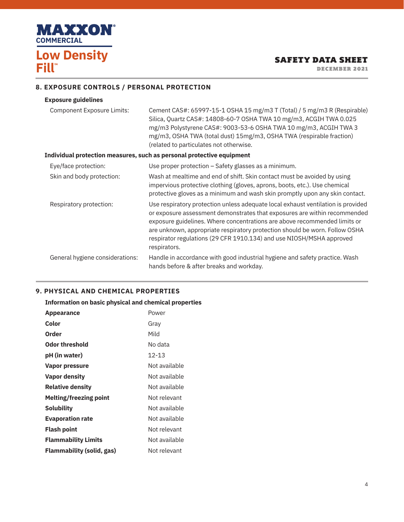

## SAFETY DATA SHEET

DECEMBER 2021

### **8. EXPOSURE CONTROLS / PERSONAL PROTECTION**

#### **Exposure guidelines**

| Component Exposure Limits: | Cement CAS#: 65997-15-1 OSHA 15 mg/m3 T (Total) / 5 mg/m3 R (Respirable) |
|----------------------------|--------------------------------------------------------------------------|
|                            | Silica, Quartz CAS#: 14808-60-7 OSHA TWA 10 mg/m3, ACGIH TWA 0.025       |
|                            | mg/m3 Polystyrene CAS#: 9003-53-6 OSHA TWA 10 mg/m3, ACGIH TWA 3         |
|                            | mg/m3, OSHA TWA (total dust) 15mg/m3, OSHA TWA (respirable fraction)     |
|                            | (related to particulates not otherwise.                                  |

#### **Individual protection measures, such as personal protective equipment**

| Eye/face protection:            | Use proper protection – Safety glasses as a minimum.                                                                                                                                                                                                                                                                                                                                                              |
|---------------------------------|-------------------------------------------------------------------------------------------------------------------------------------------------------------------------------------------------------------------------------------------------------------------------------------------------------------------------------------------------------------------------------------------------------------------|
| Skin and body protection:       | Wash at mealtime and end of shift. Skin contact must be avoided by using<br>impervious protective clothing (gloves, aprons, boots, etc.). Use chemical<br>protective gloves as a minimum and wash skin promptly upon any skin contact.                                                                                                                                                                            |
| Respiratory protection:         | Use respiratory protection unless adequate local exhaust ventilation is provided<br>or exposure assessment demonstrates that exposures are within recommended<br>exposure guidelines. Where concentrations are above recommended limits or<br>are unknown, appropriate respiratory protection should be worn. Follow OSHA<br>respirator regulations (29 CFR 1910.134) and use NIOSH/MSHA approved<br>respirators. |
| General hygiene considerations: | Handle in accordance with good industrial hygiene and safety practice. Wash<br>hands before & after breaks and workday.                                                                                                                                                                                                                                                                                           |

#### **9. PHYSICAL AND CHEMICAL PROPERTIES**

| Information on basic physical and chemical properties |               |  |  |
|-------------------------------------------------------|---------------|--|--|
| <b>Appearance</b>                                     | Power         |  |  |
| Color                                                 | Gray          |  |  |
| Order                                                 | Mild          |  |  |
| Odor threshold                                        | No data       |  |  |
| pH (in water)                                         | 12-13         |  |  |
| <b>Vapor pressure</b>                                 | Not available |  |  |
| Vapor density                                         | Not available |  |  |
| <b>Relative density</b>                               | Not available |  |  |
| <b>Melting/freezing point</b>                         | Not relevant  |  |  |
| Solubility                                            | Not available |  |  |
| <b>Evaporation rate</b>                               | Not available |  |  |
| Flash point                                           | Not relevant  |  |  |
| <b>Flammability Limits</b>                            | Not available |  |  |
| Flammability (solid, gas)                             | Not relevant  |  |  |
|                                                       |               |  |  |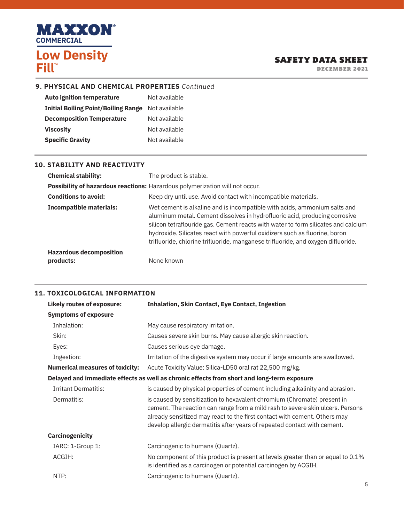

### SAFETY DATA SHEET

DECEMBER 2021

#### **9. PHYSICAL AND CHEMICAL PROPERTIES** *Continued*

| <b>Auto ignition temperature</b>           | Not available |
|--------------------------------------------|---------------|
| <b>Initial Boiling Point/Boiling Range</b> | Not available |
| <b>Decomposition Temperature</b>           | Not available |
| <b>Viscosity</b>                           | Not available |
| <b>Specific Gravity</b>                    | Not available |

#### **10. STABILITY AND REACTIVITY**

| <b>Chemical stability:</b>                                                   | The product is stable.                                                                                                                                                                                                                                                                                                                                                                                         |  |
|------------------------------------------------------------------------------|----------------------------------------------------------------------------------------------------------------------------------------------------------------------------------------------------------------------------------------------------------------------------------------------------------------------------------------------------------------------------------------------------------------|--|
| Possibility of hazardous reactions: Hazardous polymerization will not occur. |                                                                                                                                                                                                                                                                                                                                                                                                                |  |
| <b>Conditions to avoid:</b>                                                  | Keep dry until use. Avoid contact with incompatible materials.                                                                                                                                                                                                                                                                                                                                                 |  |
| <b>Incompatible materials:</b>                                               | Wet cement is alkaline and is incompatible with acids, ammonium salts and<br>aluminum metal. Cement dissolves in hydrofluoric acid, producing corrosive<br>silicon tetraflouride gas. Cement reacts with water to form silicates and calcium<br>hydroxide. Silicates react with powerful oxidizers such as fluorine, boron<br>trifluoride, chlorine trifluoride, manganese trifluoride, and oxygen difluoride. |  |
| <b>Hazardous decomposition</b><br>products:                                  | None known                                                                                                                                                                                                                                                                                                                                                                                                     |  |
|                                                                              |                                                                                                                                                                                                                                                                                                                                                                                                                |  |

#### **11. TOXICOLOGICAL INFORMATION**

| <b>Likely routes of exposure:</b>                                                          | <b>Inhalation, Skin Contact, Eye Contact, Ingestion</b>                                                                                                                                                                                                                                                            |
|--------------------------------------------------------------------------------------------|--------------------------------------------------------------------------------------------------------------------------------------------------------------------------------------------------------------------------------------------------------------------------------------------------------------------|
| <b>Symptoms of exposure</b>                                                                |                                                                                                                                                                                                                                                                                                                    |
| Inhalation:                                                                                | May cause respiratory irritation.                                                                                                                                                                                                                                                                                  |
| Skin:                                                                                      | Causes severe skin burns. May cause allergic skin reaction.                                                                                                                                                                                                                                                        |
| Eyes:                                                                                      | Causes serious eye damage.                                                                                                                                                                                                                                                                                         |
| Ingestion:                                                                                 | Irritation of the digestive system may occur if large amounts are swallowed.                                                                                                                                                                                                                                       |
| <b>Numerical measures of toxicity:</b>                                                     | Acute Toxicity Value: Silica-LD50 oral rat 22,500 mg/kg.                                                                                                                                                                                                                                                           |
| Delayed and immediate effects as well as chronic effects from short and long-term exposure |                                                                                                                                                                                                                                                                                                                    |
| <b>Irritant Dermatitis:</b>                                                                | is caused by physical properties of cement including alkalinity and abrasion.                                                                                                                                                                                                                                      |
| Dermatitis:                                                                                | is caused by sensitization to hexavalent chromium (Chromate) present in<br>cement. The reaction can range from a mild rash to severe skin ulcers. Persons<br>already sensitized may react to the first contact with cement. Others may<br>develop allergic dermatitis after years of repeated contact with cement. |
| Carcinogenicity                                                                            |                                                                                                                                                                                                                                                                                                                    |
| IARC: 1-Group 1:                                                                           | Carcinogenic to humans (Quartz).                                                                                                                                                                                                                                                                                   |
| ACGIH:                                                                                     | No component of this product is present at levels greater than or equal to 0.1%<br>is identified as a carcinogen or potential carcinogen by ACGIH.                                                                                                                                                                 |
| NTP:                                                                                       | Carcinogenic to humans (Quartz).                                                                                                                                                                                                                                                                                   |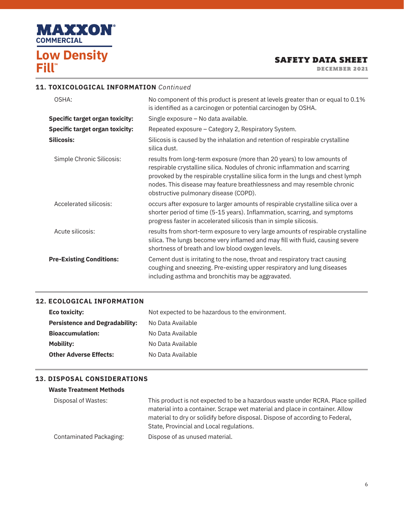

### SAFETY DATA SHEET

DECEMBER 2021

#### **11. TOXICOLOGICAL INFORMATION** *Continued*

| OSHA:                                  | No component of this product is present at levels greater than or equal to 0.1%<br>is identified as a carcinogen or potential carcinogen by OSHA.                                                                                                                                                                                                            |
|----------------------------------------|--------------------------------------------------------------------------------------------------------------------------------------------------------------------------------------------------------------------------------------------------------------------------------------------------------------------------------------------------------------|
| <b>Specific target organ toxicity:</b> | Single exposure - No data available.                                                                                                                                                                                                                                                                                                                         |
| <b>Specific target organ toxicity:</b> | Repeated exposure - Category 2, Respiratory System.                                                                                                                                                                                                                                                                                                          |
| <b>Silicosis:</b>                      | Silicosis is caused by the inhalation and retention of respirable crystalline<br>silica dust.                                                                                                                                                                                                                                                                |
| Simple Chronic Silicosis:              | results from long-term exposure (more than 20 years) to low amounts of<br>respirable crystalline silica. Nodules of chronic inflammation and scarring<br>provoked by the respirable crystalline silica form in the lungs and chest lymph<br>nodes. This disease may feature breathlessness and may resemble chronic<br>obstructive pulmonary disease (COPD). |
| Accelerated silicosis:                 | occurs after exposure to larger amounts of respirable crystalline silica over a<br>shorter period of time (5-15 years). Inflammation, scarring, and symptoms<br>progress faster in accelerated silicosis than in simple silicosis.                                                                                                                           |
| Acute silicosis:                       | results from short-term exposure to very large amounts of respirable crystalline<br>silica. The lungs become very inflamed and may fill with fluid, causing severe<br>shortness of breath and low blood oxygen levels.                                                                                                                                       |
| <b>Pre-Existing Conditions:</b>        | Cement dust is irritating to the nose, throat and respiratory tract causing<br>coughing and sneezing. Pre-existing upper respiratory and lung diseases<br>including asthma and bronchitis may be aggravated.                                                                                                                                                 |

#### **12. ECOLOGICAL INFORMATION**

| Eco toxicity:                         | Not expected to be hazardous to the environment. |
|---------------------------------------|--------------------------------------------------|
| <b>Persistence and Degradability:</b> | No Data Available                                |
| <b>Bioaccumulation:</b>               | No Data Available                                |
| Mobility:                             | No Data Available                                |
| <b>Other Adverse Effects:</b>         | No Data Available                                |

#### **13. DISPOSAL CONSIDERATIONS**

#### **Waste Treatment Methods**

| Disposal of Wastes:     | This product is not expected to be a hazardous waste under RCRA. Place spilled |
|-------------------------|--------------------------------------------------------------------------------|
|                         | material into a container. Scrape wet material and place in container. Allow   |
|                         | material to dry or solidify before disposal. Dispose of according to Federal,  |
|                         | State, Provincial and Local regulations.                                       |
| Contaminated Packaging: | Dispose of as unused material.                                                 |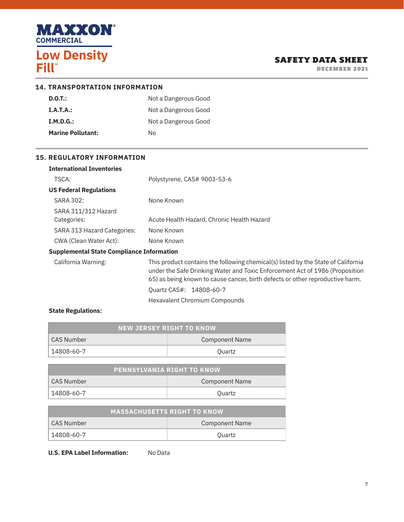

### SAFETY DATA SHEET

DECEMBER 2021

| <b>14. TRANSPORTATION INFORMATION</b> |                      |  |
|---------------------------------------|----------------------|--|
| D.O.T.:                               | Not a Dangerous Good |  |
| I.A.T.A.:                             | Not a Dangerous Good |  |
| $I.M.D.G.$ :                          | Not a Dangerous Good |  |
| <b>Marine Pollutant:</b>              | N٥                   |  |

#### **15. REGULATORY INFORMATION**

| <b>International Inventories</b>                 |                                                                                                                                                                                                                                                    |
|--------------------------------------------------|----------------------------------------------------------------------------------------------------------------------------------------------------------------------------------------------------------------------------------------------------|
| TSCA:                                            | Polystyrene, CAS# 9003-53-6                                                                                                                                                                                                                        |
| <b>US Federal Regulations</b>                    |                                                                                                                                                                                                                                                    |
| SARA 302:                                        | None Known                                                                                                                                                                                                                                         |
| SARA 311/312 Hazard                              |                                                                                                                                                                                                                                                    |
| Categories:                                      | Acute Health Hazard, Chronic Health Hazard                                                                                                                                                                                                         |
| SARA 313 Hazard Categories:                      | None Known                                                                                                                                                                                                                                         |
| CWA (Clean Water Act):                           | None Known                                                                                                                                                                                                                                         |
| <b>Supplemental State Compliance Information</b> |                                                                                                                                                                                                                                                    |
| California Warning:                              | This product contains the following chemical(s) listed by the State of California<br>under the Safe Drinking Water and Toxic Enforcement Act of 1986 (Proposition<br>65) as being known to cause cancer, birth defects or other reproductive harm. |
|                                                  | Quartz CAS#: 14808-60-7                                                                                                                                                                                                                            |
|                                                  | Hexavalent Chromium Compounds                                                                                                                                                                                                                      |

#### **State Regulations:**

| <b>NEW JERSEY RIGHT TO KNOW</b> |                       |  |
|---------------------------------|-----------------------|--|
| CAS Number                      | <b>Component Name</b> |  |
| 14808-60-7                      | Ouartz                |  |

| <b>PENNSYLVANIA RIGHT TO KNOW</b> |                |  |
|-----------------------------------|----------------|--|
| CAS Number                        | Component Name |  |
| 14808-60-7                        | Quartz         |  |

| <b>MASSACHUSETTS RIGHT TO KNOW</b> |                |
|------------------------------------|----------------|
| CAS Number                         | Component Name |
| 14808-60-7                         | Ouartz         |

**U.S. EPA Label Information:** No Data